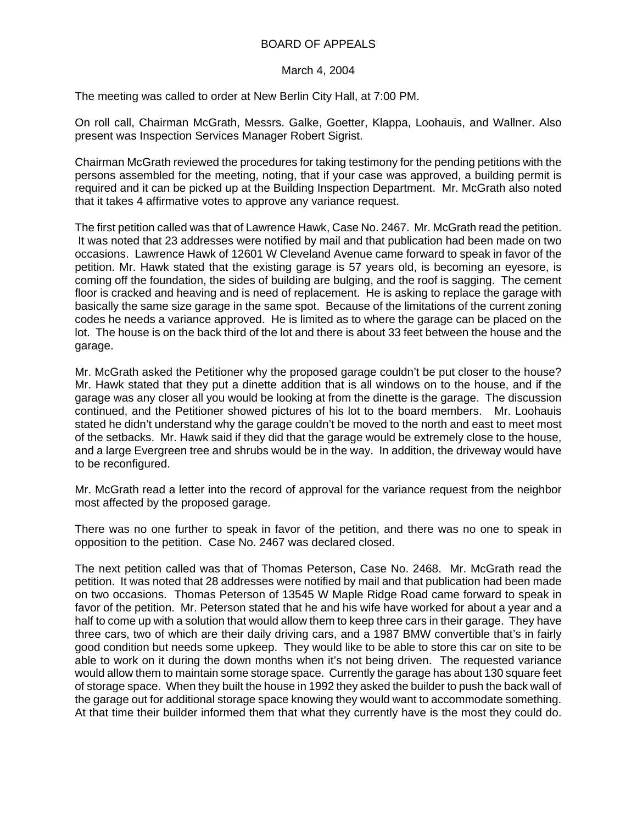## BOARD OF APPEALS

## March 4, 2004

The meeting was called to order at New Berlin City Hall, at 7:00 PM.

On roll call, Chairman McGrath, Messrs. Galke, Goetter, Klappa, Loohauis, and Wallner. Also present was Inspection Services Manager Robert Sigrist.

Chairman McGrath reviewed the procedures for taking testimony for the pending petitions with the persons assembled for the meeting, noting, that if your case was approved, a building permit is required and it can be picked up at the Building Inspection Department. Mr. McGrath also noted that it takes 4 affirmative votes to approve any variance request.

The first petition called was that of Lawrence Hawk, Case No. 2467. Mr. McGrath read the petition. It was noted that 23 addresses were notified by mail and that publication had been made on two occasions. Lawrence Hawk of 12601 W Cleveland Avenue came forward to speak in favor of the petition. Mr. Hawk stated that the existing garage is 57 years old, is becoming an eyesore, is coming off the foundation, the sides of building are bulging, and the roof is sagging. The cement floor is cracked and heaving and is need of replacement. He is asking to replace the garage with basically the same size garage in the same spot. Because of the limitations of the current zoning codes he needs a variance approved. He is limited as to where the garage can be placed on the lot. The house is on the back third of the lot and there is about 33 feet between the house and the garage.

Mr. McGrath asked the Petitioner why the proposed garage couldn't be put closer to the house? Mr. Hawk stated that they put a dinette addition that is all windows on to the house, and if the garage was any closer all you would be looking at from the dinette is the garage. The discussion continued, and the Petitioner showed pictures of his lot to the board members. Mr. Loohauis stated he didn't understand why the garage couldn't be moved to the north and east to meet most of the setbacks. Mr. Hawk said if they did that the garage would be extremely close to the house, and a large Evergreen tree and shrubs would be in the way. In addition, the driveway would have to be reconfigured.

Mr. McGrath read a letter into the record of approval for the variance request from the neighbor most affected by the proposed garage.

There was no one further to speak in favor of the petition, and there was no one to speak in opposition to the petition. Case No. 2467 was declared closed.

The next petition called was that of Thomas Peterson, Case No. 2468. Mr. McGrath read the petition. It was noted that 28 addresses were notified by mail and that publication had been made on two occasions. Thomas Peterson of 13545 W Maple Ridge Road came forward to speak in favor of the petition. Mr. Peterson stated that he and his wife have worked for about a year and a half to come up with a solution that would allow them to keep three cars in their garage. They have three cars, two of which are their daily driving cars, and a 1987 BMW convertible that's in fairly good condition but needs some upkeep. They would like to be able to store this car on site to be able to work on it during the down months when it's not being driven. The requested variance would allow them to maintain some storage space. Currently the garage has about 130 square feet of storage space. When they built the house in 1992 they asked the builder to push the back wall of the garage out for additional storage space knowing they would want to accommodate something. At that time their builder informed them that what they currently have is the most they could do.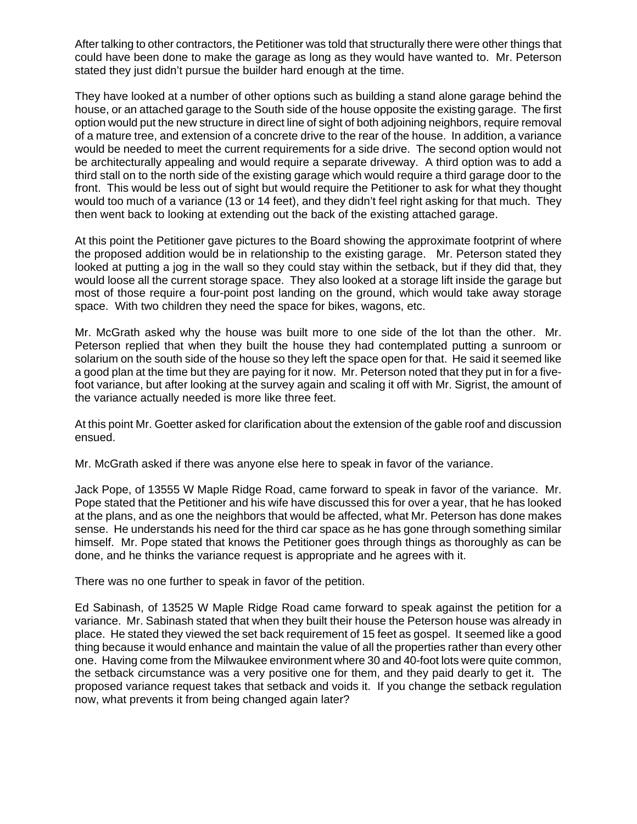After talking to other contractors, the Petitioner was told that structurally there were other things that could have been done to make the garage as long as they would have wanted to. Mr. Peterson stated they just didn't pursue the builder hard enough at the time.

They have looked at a number of other options such as building a stand alone garage behind the house, or an attached garage to the South side of the house opposite the existing garage. The first option would put the new structure in direct line of sight of both adjoining neighbors, require removal of a mature tree, and extension of a concrete drive to the rear of the house. In addition, a variance would be needed to meet the current requirements for a side drive. The second option would not be architecturally appealing and would require a separate driveway. A third option was to add a third stall on to the north side of the existing garage which would require a third garage door to the front. This would be less out of sight but would require the Petitioner to ask for what they thought would too much of a variance (13 or 14 feet), and they didn't feel right asking for that much. They then went back to looking at extending out the back of the existing attached garage.

At this point the Petitioner gave pictures to the Board showing the approximate footprint of where the proposed addition would be in relationship to the existing garage. Mr. Peterson stated they looked at putting a jog in the wall so they could stay within the setback, but if they did that, they would loose all the current storage space. They also looked at a storage lift inside the garage but most of those require a four-point post landing on the ground, which would take away storage space. With two children they need the space for bikes, wagons, etc.

Mr. McGrath asked why the house was built more to one side of the lot than the other. Mr. Peterson replied that when they built the house they had contemplated putting a sunroom or solarium on the south side of the house so they left the space open for that. He said it seemed like a good plan at the time but they are paying for it now. Mr. Peterson noted that they put in for a fivefoot variance, but after looking at the survey again and scaling it off with Mr. Sigrist, the amount of the variance actually needed is more like three feet.

At this point Mr. Goetter asked for clarification about the extension of the gable roof and discussion ensued.

Mr. McGrath asked if there was anyone else here to speak in favor of the variance.

Jack Pope, of 13555 W Maple Ridge Road, came forward to speak in favor of the variance. Mr. Pope stated that the Petitioner and his wife have discussed this for over a year, that he has looked at the plans, and as one the neighbors that would be affected, what Mr. Peterson has done makes sense. He understands his need for the third car space as he has gone through something similar himself. Mr. Pope stated that knows the Petitioner goes through things as thoroughly as can be done, and he thinks the variance request is appropriate and he agrees with it.

There was no one further to speak in favor of the petition.

Ed Sabinash, of 13525 W Maple Ridge Road came forward to speak against the petition for a variance. Mr. Sabinash stated that when they built their house the Peterson house was already in place. He stated they viewed the set back requirement of 15 feet as gospel. It seemed like a good thing because it would enhance and maintain the value of all the properties rather than every other one. Having come from the Milwaukee environment where 30 and 40-foot lots were quite common, the setback circumstance was a very positive one for them, and they paid dearly to get it. The proposed variance request takes that setback and voids it. If you change the setback regulation now, what prevents it from being changed again later?